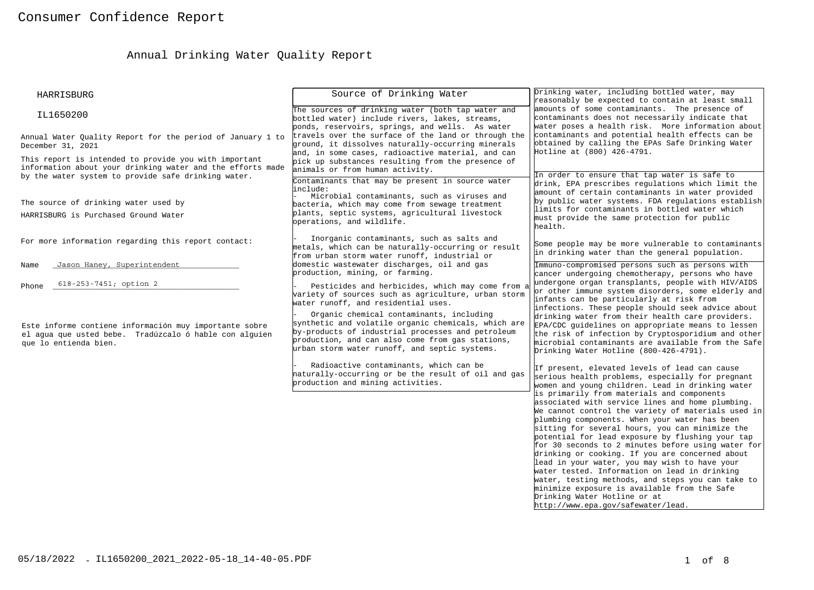# Annual Drinking Water Quality Report

| HARRISBURG                                                                                                                                                                   | Source of Drinking Water                                                                                                                                                                                                                                                                                                                                                                                    | Drinking water, including bottled water, may<br>reasonably be expected to contain at least small                                                                                                                                                                                                                                                                                                                                                                                                                                                                                                                                                                                                   |
|------------------------------------------------------------------------------------------------------------------------------------------------------------------------------|-------------------------------------------------------------------------------------------------------------------------------------------------------------------------------------------------------------------------------------------------------------------------------------------------------------------------------------------------------------------------------------------------------------|----------------------------------------------------------------------------------------------------------------------------------------------------------------------------------------------------------------------------------------------------------------------------------------------------------------------------------------------------------------------------------------------------------------------------------------------------------------------------------------------------------------------------------------------------------------------------------------------------------------------------------------------------------------------------------------------------|
| IL1650200                                                                                                                                                                    | The sources of drinking water (both tap water and<br>bottled water) include rivers, lakes, streams,<br>ponds, reservoirs, springs, and wells. As water                                                                                                                                                                                                                                                      | amounts of some contaminants. The presence of<br>contaminants does not necessarily indicate that<br>water poses a health risk. More information about                                                                                                                                                                                                                                                                                                                                                                                                                                                                                                                                              |
| Annual Water Ouality Report for the period of January 1 to<br>December 31, 2021                                                                                              | travels over the surface of the land or through the<br>ground, it dissolves naturally-occurring minerals<br>and, in some cases, radioactive material, and can                                                                                                                                                                                                                                               | contaminants and potential health effects can be<br>obtained by calling the EPAs Safe Drinking Water<br>Hotline at (800) 426-4791.                                                                                                                                                                                                                                                                                                                                                                                                                                                                                                                                                                 |
| This report is intended to provide you with important<br>information about your drinking water and the efforts made<br>by the water system to provide safe drinking water.   | pick up substances resulting from the presence of<br>animals or from human activity.                                                                                                                                                                                                                                                                                                                        | In order to ensure that tap water is safe to                                                                                                                                                                                                                                                                                                                                                                                                                                                                                                                                                                                                                                                       |
| The source of drinking water used by                                                                                                                                         | Contaminants that may be present in source water<br>linclude:<br>Microbial contaminants, such as viruses and<br>bacteria, which may come from sewage treatment                                                                                                                                                                                                                                              | drink, EPA prescribes regulations which limit the<br>amount of certain contaminants in water provided<br>by public water systems. FDA regulations establish<br>limits for contaminants in bottled water which                                                                                                                                                                                                                                                                                                                                                                                                                                                                                      |
| HARRISBURG is Purchased Ground Water                                                                                                                                         | plants, septic systems, agricultural livestock<br>operations, and wildlife.                                                                                                                                                                                                                                                                                                                                 | must provide the same protection for public<br>health.                                                                                                                                                                                                                                                                                                                                                                                                                                                                                                                                                                                                                                             |
| For more information regarding this report contact:                                                                                                                          | Inorganic contaminants, such as salts and<br>metals, which can be naturally-occurring or result<br>from urban storm water runoff, industrial or                                                                                                                                                                                                                                                             | Some people may be more vulnerable to contaminants<br>in drinking water than the general population.                                                                                                                                                                                                                                                                                                                                                                                                                                                                                                                                                                                               |
| Jason Haney, Superintendent<br>Name                                                                                                                                          | domestic wastewater discharges, oil and gas<br>production, mining, or farming.                                                                                                                                                                                                                                                                                                                              | Immuno-compromised persons such as persons with<br>cancer undergoing chemotherapy, persons who have<br>undergone organ transplants, people with HIV/AIDS                                                                                                                                                                                                                                                                                                                                                                                                                                                                                                                                           |
| 618-253-7451; option 2<br>Phone<br>Este informe contiene información muy importante sobre<br>el agua que usted bebe. Tradúzcalo ó hable con alguien<br>que lo entienda bien. | Pesticides and herbicides, which may come from a<br>variety of sources such as agriculture, urban storm<br>water runoff, and residential uses.<br>Organic chemical contaminants, including<br>synthetic and volatile organic chemicals, which are<br>by-products of industrial processes and petroleum<br>production, and can also come from gas stations,<br>urban storm water runoff, and septic systems. | or other immune system disorders, some elderly and<br>infants can be particularly at risk from<br>infections. These people should seek advice about<br>drinking water from their health care providers.<br>EPA/CDC guidelines on appropriate means to lessen<br>the risk of infection by Cryptosporidium and other<br>microbial contaminants are available from the Safe<br>Drinking Water Hotline (800-426-4791).                                                                                                                                                                                                                                                                                 |
|                                                                                                                                                                              | Radioactive contaminants, which can be<br>haturally-occurring or be the result of oil and gas<br>production and mining activities.                                                                                                                                                                                                                                                                          | If present, elevated levels of lead can cause<br>serious health problems, especially for pregnant<br>women and young children. Lead in drinking water                                                                                                                                                                                                                                                                                                                                                                                                                                                                                                                                              |
|                                                                                                                                                                              |                                                                                                                                                                                                                                                                                                                                                                                                             | is primarily from materials and components<br>associated with service lines and home plumbing.<br>We cannot control the variety of materials used in<br>plumbing components. When your water has been<br>sitting for several hours, you can minimize the<br>potential for lead exposure by flushing your tap<br>for 30 seconds to 2 minutes before using water for<br>drinking or cooking. If you are concerned about<br>lead in your water, you may wish to have your<br>water tested. Information on lead in drinking<br>water, testing methods, and steps you can take to<br>minimize exposure is available from the Safe<br>Drinking Water Hotline or at<br>http://www.epa.gov/safewater/lead. |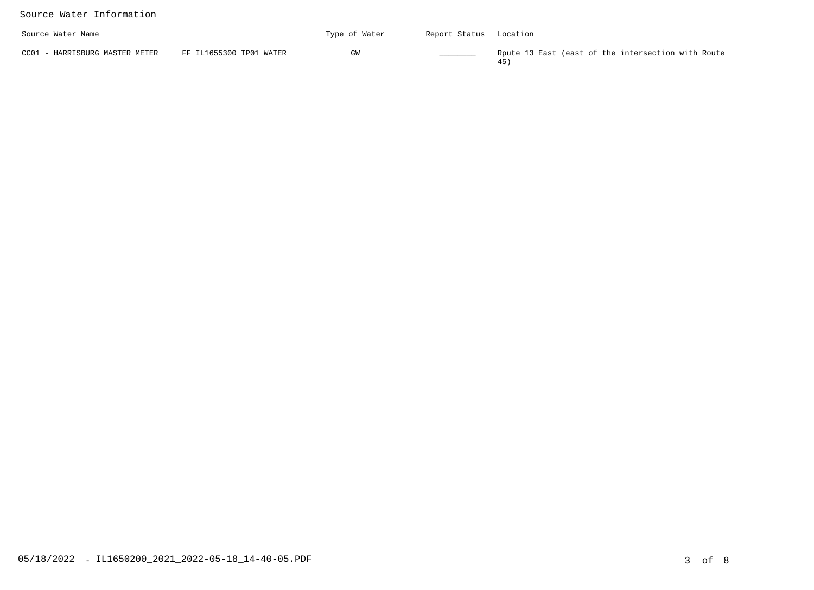#### Source Water Information

| Source Water Name              |                         | Type of Water | Report Status                                                                                                                                                                                                                        | Location                                           |
|--------------------------------|-------------------------|---------------|--------------------------------------------------------------------------------------------------------------------------------------------------------------------------------------------------------------------------------------|----------------------------------------------------|
| CC01 - HARRISBURG MASTER METER | FF IL1655300 TP01 WATER | GW            | <b>Contract Contract Contract Contract Contract Contract Contract Contract Contract Contract Contract Contract Contract Contract Contract Contract Contract Contract Contract Contract Contract Contract Contract Contract Contr</b> | Rpute 13 East (east of the intersection with Route |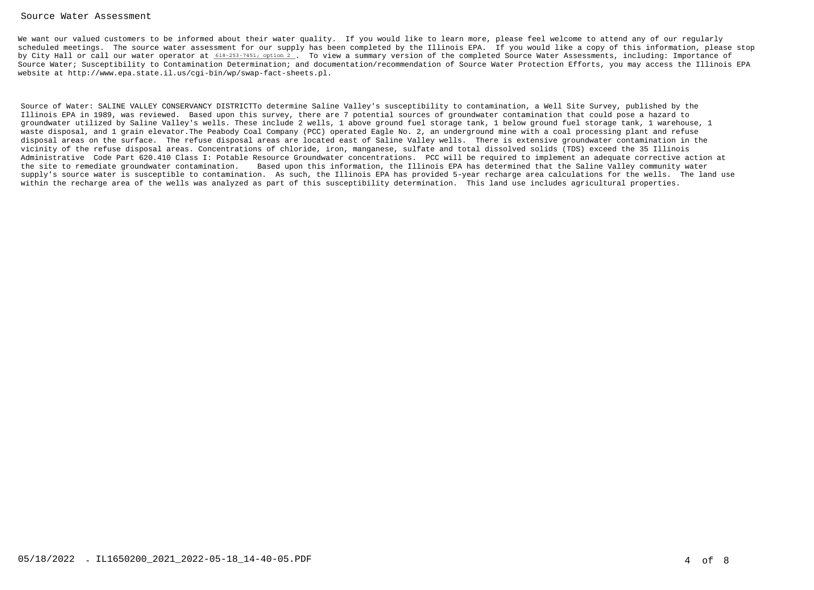#### Source Water Assessment

We want our valued customers to be informed about their water quality. If you would like to learn more, please feel welcome to attend any of our regularly scheduled meetings. The source water assessment for our supply has been completed by the Illinois EPA. If you would like a copy of this information, please stopby City Hall or call our water operator at <u>618-253-7451; option 2</u> . To view a summary version of the completed Source Water Assessments, including: Importance of Source Water; Susceptibility to Contamination Determination; and documentation/recommendation of Source Water Protection Efforts, you may access the Illinois EPAwebsite at http://www.epa.state.il.us/cgi-bin/wp/swap-fact-sheets.pl.

Source of Water: SALINE VALLEY CONSERVANCY DISTRICTTo determine Saline Valley's susceptibility to contamination, a Well Site Survey, published by theIllinois EPA in 1989, was reviewed. Based upon this survey, there are 7 potential sources of groundwater contamination that could pose a hazard to groundwater utilized by Saline Valley's wells. These include 2 wells, 1 above ground fuel storage tank, 1 below ground fuel storage tank, 1 warehouse, 1waste disposal, and 1 grain elevator.The Peabody Coal Company (PCC) operated Eagle No. 2, an underground mine with a coal processing plant and refuse disposal areas on the surface. The refuse disposal areas are located east of Saline Valley wells. There is extensive groundwater contamination in thevicinity of the refuse disposal areas. Concentrations of chloride, iron, manganese, sulfate and total dissolved solids (TDS) exceed the 35 Illinois Administrative Code Part 620.410 Class I: Potable Resource Groundwater concentrations. PCC will be required to implement an adequate corrective action atthe site to remediate groundwater contamination. Based upon this information, the Illinois EPA has determined that the Saline Valley community water supply's source water is susceptible to contamination. As such, the Illinois EPA has provided 5-year recharge area calculations for the wells. The land usewithin the recharge area of the wells was analyzed as part of this susceptibility determination. This land use includes agricultural properties.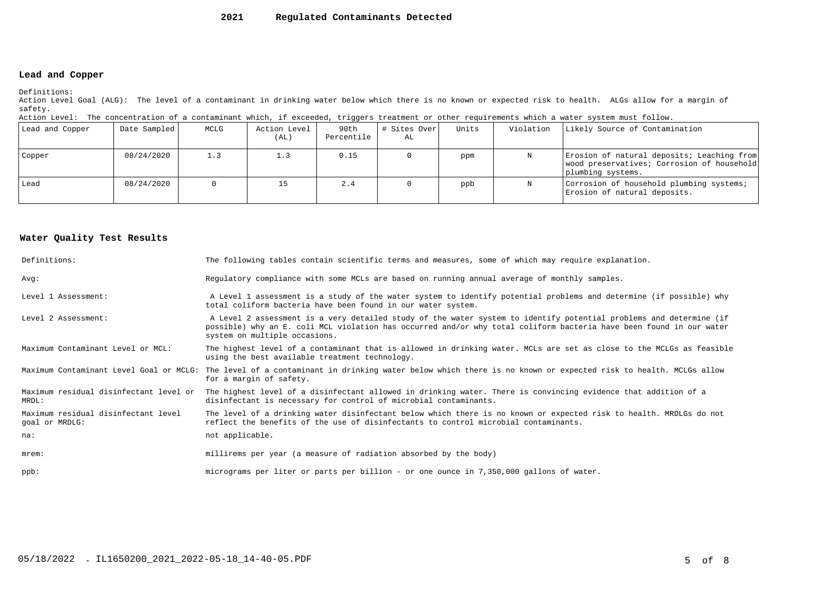#### **2021Regulated Contaminants Detected**

#### **Lead and Copper**

Definitions:

 Action Level Goal (ALG): The level of a contaminant in drinking water below which there is no known or expected risk to health. ALGs allow for a margin ofsafety.

| Action Level: The concentration of a contaminant which, if exceeded, triggers treatment or other requirements which a water system must follow. |  |  |  |
|-------------------------------------------------------------------------------------------------------------------------------------------------|--|--|--|
|                                                                                                                                                 |  |  |  |

| Lead and Copper | Date Sampled | MCLG | Action Level<br>(AL) | 90th<br>Percentile | # Sites Over<br>AL | Units | Violation | Likely Source of Contamination                                                                                |
|-----------------|--------------|------|----------------------|--------------------|--------------------|-------|-----------|---------------------------------------------------------------------------------------------------------------|
| Copper          | 08/24/2020   | 1.3  |                      | 0.15               |                    | ppm   |           | Erosion of natural deposits; Leaching from<br>wood preservatives; Corrosion of household<br>plumbing systems. |
| Lead            | 08/24/2020   |      |                      | 2.4                |                    | ppb   |           | Corrosion of household plumbing systems;<br>Erosion of natural deposits.                                      |

#### **Water Quality Test Results**

| Definitions:                                          | The following tables contain scientific terms and measures, some of which may require explanation.                                                                                                                                                                         |
|-------------------------------------------------------|----------------------------------------------------------------------------------------------------------------------------------------------------------------------------------------------------------------------------------------------------------------------------|
| Avq:                                                  | Regulatory compliance with some MCLs are based on running annual average of monthly samples.                                                                                                                                                                               |
| Level 1 Assessment:                                   | A Level 1 assessment is a study of the water system to identify potential problems and determine (if possible) why<br>total coliform bacteria have been found in our water system.                                                                                         |
| Level 2 Assessment:                                   | A Level 2 assessment is a very detailed study of the water system to identify potential problems and determine (if<br>possible) why an E. coli MCL violation has occurred and/or why total coliform bacteria have been found in our water<br>system on multiple occasions. |
| Maximum Contaminant Level or MCL:                     | The highest level of a contaminant that is allowed in drinking water. MCLs are set as close to the MCLGs as feasible<br>using the best available treatment technology.                                                                                                     |
|                                                       | Maximum Contaminant Level Goal or MCLG: The level of a contaminant in drinking water below which there is no known or expected risk to health. MCLGs allow<br>for a margin of safety.                                                                                      |
| Maximum residual disinfectant level or<br>MRDL:       | The highest level of a disinfectant allowed in drinking water. There is convincing evidence that addition of a<br>disinfectant is necessary for control of microbial contaminants.                                                                                         |
| Maximum residual disinfectant level<br>goal or MRDLG: | The level of a drinking water disinfectant below which there is no known or expected risk to health. MRDLGs do not<br>reflect the benefits of the use of disinfectants to control microbial contaminants.                                                                  |
| na:                                                   | not applicable.                                                                                                                                                                                                                                                            |
| $m$ rem:                                              | millirems per year (a measure of radiation absorbed by the body)                                                                                                                                                                                                           |
| $ppb$ :                                               | micrograms per liter or parts per billion - or one ounce in 7,350,000 gallons of water.                                                                                                                                                                                    |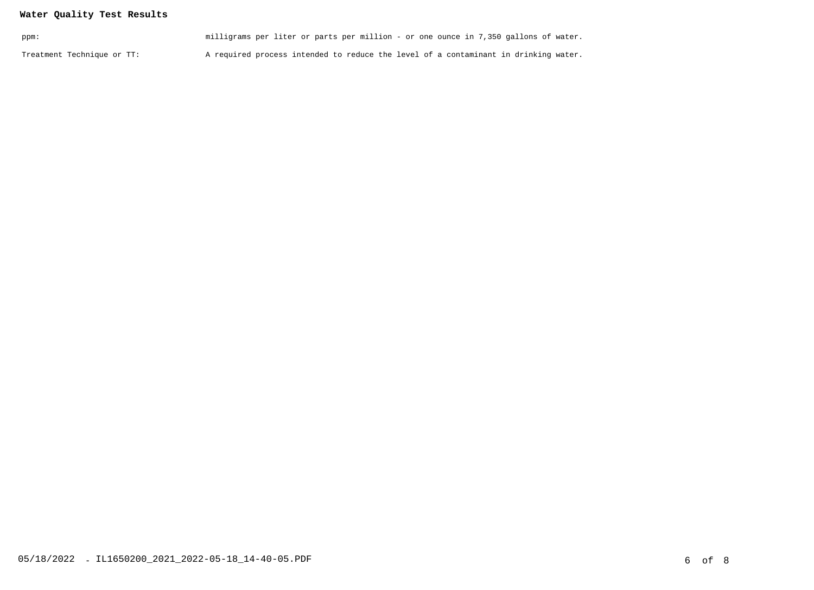# **Water Quality Test Results**

| ppm:                       | milligrams per liter or parts per million - or one ounce in 7,350 gallons of water. |  |
|----------------------------|-------------------------------------------------------------------------------------|--|
| Treatment Technique or TT: | A required process intended to reduce the level of a contaminant in drinking water. |  |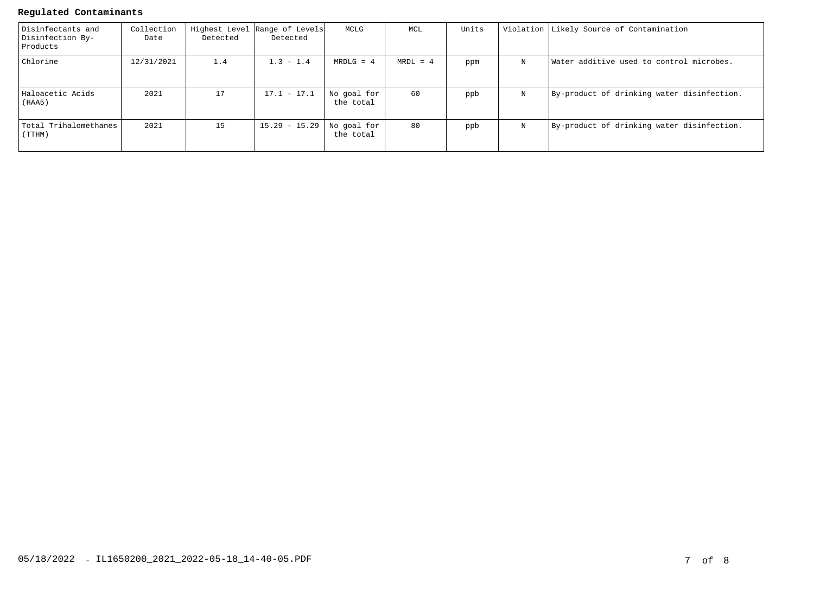#### **Regulated Contaminants**

| Disinfectants and<br>Disinfection By-<br>Products | Collection<br>Date | Detected | Highest Level Range of Levels<br>Detected | MCLG                     | MCL        | Units |   | Violation Likely Source of Contamination   |
|---------------------------------------------------|--------------------|----------|-------------------------------------------|--------------------------|------------|-------|---|--------------------------------------------|
| Chlorine                                          | 12/31/2021         | 1.4      | $1.3 - 1.4$                               | $MRDLG = 4$              | $MRDL = 4$ | ppm   | N | Water additive used to control microbes.   |
| Haloacetic Acids<br>(HAA5)                        | 2021               | 17       | $17.1 - 17.1$                             | No goal for<br>the total | 60         | ppb   | N | By-product of drinking water disinfection. |
| Total Trihalomethanes<br>(TTHM)                   | 2021               | 15       | $15.29 - 15.29$                           | No goal for<br>the total | 80         | ppb   | N | By-product of drinking water disinfection. |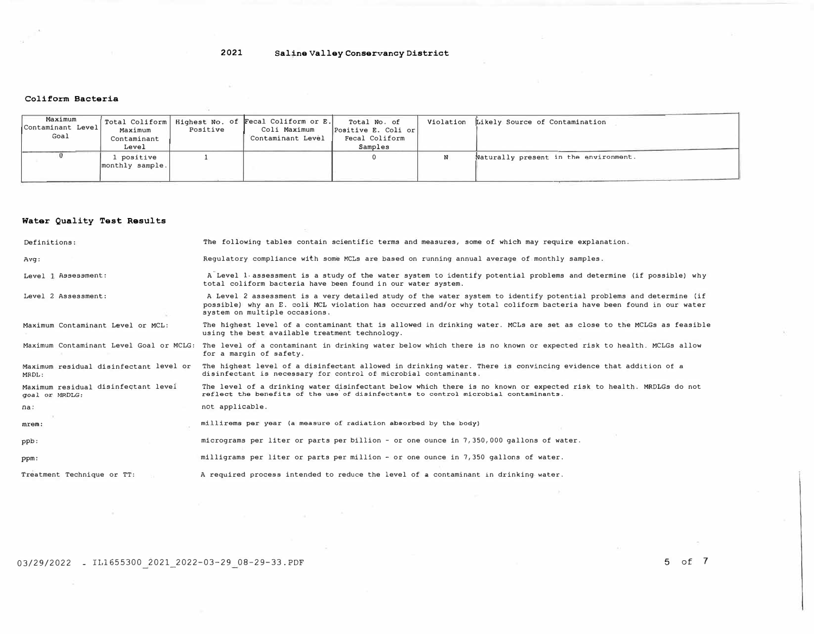# **2021 Saline Valley Conservancy District**

ŵ

#### **Coliform Bacteria**

| Maximum<br>Contaminant Level<br>Goal | Maximum<br>Contaminant<br>Level | Positive | Total Coliform   Highest No. of Fecal Coliform or E.<br>Coli Maximum<br>Contaminant Level | Total No. of<br>Positive E. Coli or<br>Fecal Coliform<br>Samples | Violation Likely Source of Contamination |
|--------------------------------------|---------------------------------|----------|-------------------------------------------------------------------------------------------|------------------------------------------------------------------|------------------------------------------|
|                                      | . positive<br>monthly sample.   |          |                                                                                           |                                                                  | Naturally present in the environment.    |

#### **Water Quality Test Results**

| Definitions:                                          | The following tables contain scientific terms and measures, some of which may require explanation.                                                                                                                                                                         |
|-------------------------------------------------------|----------------------------------------------------------------------------------------------------------------------------------------------------------------------------------------------------------------------------------------------------------------------------|
| Avq:                                                  | Requlatory compliance with some MCLs are based on running annual average of monthly samples.                                                                                                                                                                               |
| Level 1 Assessment:                                   | A Level 1 assessment is a study of the water system to identify potential problems and determine (if possible) why<br>total coliform bacteria have been found in our water system.                                                                                         |
| Level 2 Assessment:                                   | A Level 2 assessment is a very detailed study of the water system to identify potential problems and determine (if<br>possible) why an E. coli MCL violation has occurred and/or why total coliform bacteria have been found in our water<br>system on multiple occasions. |
| Maximum Contaminant Level or MCL:                     | The highest level of a contaminant that is allowed in drinking water. MCLs are set as close to the MCLGs as feasible<br>using the best available treatment technology.                                                                                                     |
| Maximum Contaminant Level Goal or MCLG:               | The level of a contaminant in drinking water below which there is no known or expected risk to health. MCLGs allow<br>for a margin of safety.                                                                                                                              |
| Maximum residual disinfectant level or<br>MRDL:       | The highest level of a disinfectant allowed in drinking water. There is convincing evidence that addition of a<br>disinfectant is necessary for control of microbial contaminants.                                                                                         |
| Maximum residual disinfectant level<br>goal or MRDLG: | The level of a drinking water disinfectant below which there is no known or expected risk to health. MRDLGs do not<br>reflect the benefits of the use of disinfectants to control microbial contaminants.                                                                  |
| na:                                                   | not applicable.                                                                                                                                                                                                                                                            |
| mrem:                                                 | millirems per year (a measure of radiation absorbed by the body)                                                                                                                                                                                                           |
| ppb:                                                  | micrograms per liter or parts per billion - or one ounce in 7,350,000 gallons of water.                                                                                                                                                                                    |
| ppm:                                                  | milligrams per liter or parts per million - or one ounce in 7,350 gallons of water.                                                                                                                                                                                        |
| Treatment Technique or TT:                            | A required process intended to reduce the level of a contaminant in drinking water.                                                                                                                                                                                        |

03/29/2022 \_ IL1655300 2021\_2022-03-29 08-29-33.PDF 5 of 7

 $\sim$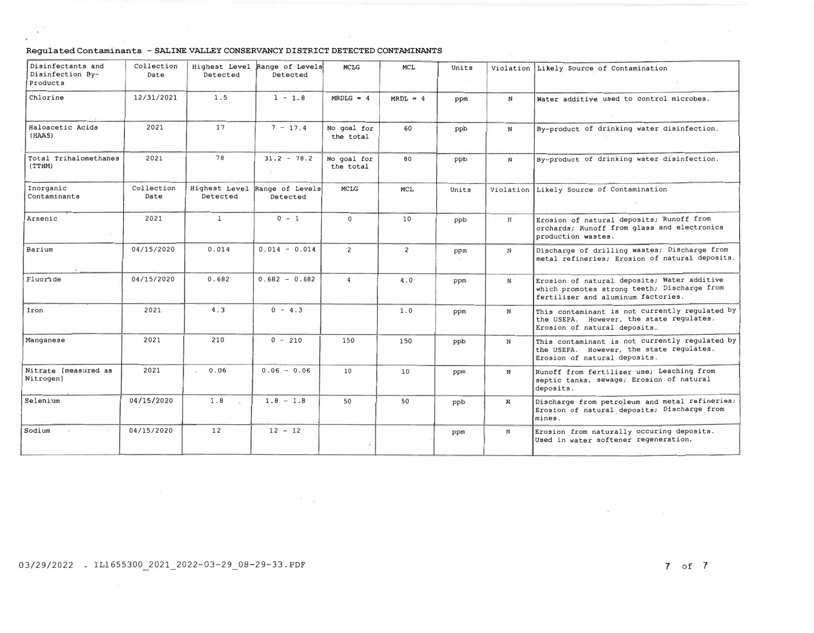#### **Regulated Contaminants - SALINE VALLEY CONSERVANCY DISTRICT DETECTED CONTAMINANTS**

| Disinfectants and<br>Disinfection By-<br>Products | Collection<br>Date | Highest Level<br>Detected | Range of Levels<br>Detected               | <b>MCLG</b>              | <b>MCL</b>     | Units<br>$-100$ |              | Violation Likely Source of Contamination                                                                                         |
|---------------------------------------------------|--------------------|---------------------------|-------------------------------------------|--------------------------|----------------|-----------------|--------------|----------------------------------------------------------------------------------------------------------------------------------|
| Chlorine                                          | 12/31/2021         | 1.5                       | $1 - 1.8$                                 | $MRDLG = 4$              | $MRDL = 4$     | ppm             | $\mathbb{N}$ | Water additive used to control microbes.                                                                                         |
| Haloacetic Acids<br>(HAA5)                        | 2021<br>(9)        | 17                        | $7 - 17.4$                                | No goal for<br>the total | 60             | ppb             | N            | By-product of drinking water disinfection.                                                                                       |
| Total Trihalomethanes<br>(TTHM)                   | 2021               | 78                        | $31.2 - 78.2$                             | No goal for<br>the total | 80             | ppb             | N            | By-product of drinking water disinfection.                                                                                       |
| Inorganic<br>Contaminants                         | Collection<br>Date | Detected                  | Highest Level Range of Levels<br>Detected | <b>MCLG</b>              | MCL            | Units           |              | Violation Likely Source of Contamination                                                                                         |
| Arsenic                                           | 2021               | $\mathbf{1}$              | $0 - 1$                                   | $\Omega$                 | 10             | ppb             | N            | Erosion of natural deposits; Runoff from<br>orchards; Runoff from glass and electronics<br>production wastes.                    |
| Barium                                            | 04/15/2020         | 0.014                     | $0.014 - 0.014$                           | $\overline{c}$           | $\overline{c}$ | ppm             | $\mathbb{N}$ | Discharge of drilling wastes; Discharge from<br>metal refineries; Erosion of natural deposits.                                   |
| Fluoride                                          | 04/15/2020         | 0.682                     | $0.682 - 0.682$                           | $\overline{4}$           | 4.0            | ppm             | $N$ .        | Erosion of natural deposits; Water additive<br>which promotes strong teeth; Discharge from<br>fertilizer and aluminum factories. |
| Iron                                              | 2021               | 4.3                       | $0 - 4.3$                                 |                          | 1.0            | ppm             | N            | This contaminant is not currently regulated by<br>the USEPA. However, the state regulates.<br>Erosion of natural deposits.       |
| Manganese                                         | 2021               | 210                       | $0 - 210$                                 | 150                      | 150            | ppb             | N            | This contaminant is not currently regulated by<br>the USEPA. However, the state regulates.<br>Erosion of natural deposits.       |
| Nitrate [measured as<br>Nitrogen)                 | 2021               | 0.06<br>o.                | $0.06 - 0.06$                             | 10                       | 10             | ppm             | N            | Runoff from fertilizer use; Leaching from<br>septic tanks, sewage; Erosion of natural<br>deposits.                               |
| Selenium                                          | 04/15/2020         | 1.8                       | $1.8 - 1.8$                               | 50                       | 50             | ppb             | N            | Discharge from petroleum and metal refineries;<br>Erosion of natural deposits; Discharge from<br>mines.                          |
| Sodium                                            | 04/15/2020         | 12                        | $12 - 12$                                 |                          |                | ppm             | N            | Erosion from naturally occuring deposits.<br>Used in water softener regeneration.                                                |